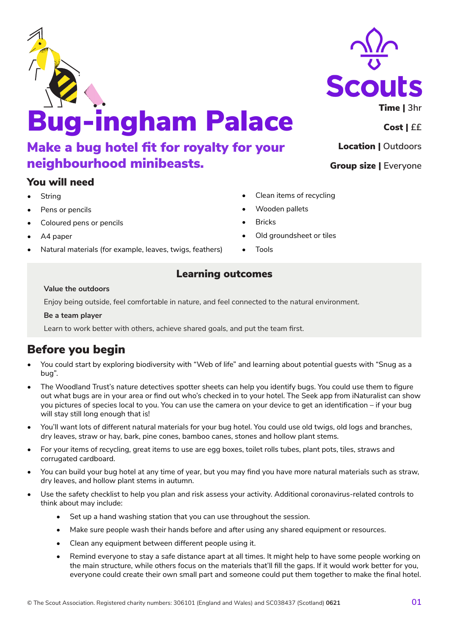# Bug-ingham Palace Make a bug hotel fit for royalty for your neighbourhood minibeasts.

## You will need

- **String**
- Pens or pencils
- Coloured pens or pencils
- A4 paper
- Natural materials (for example, leaves, twigs, feathers)

## Learning outcomes

### **Value the outdoors**

Enjoy being outside, feel comfortable in nature, and feel connected to the natural environment.

Learn to work better with others, achieve shared goals, and put the team first.

## Before you begin

- You could start by exploring biodiversity with "Web of life" and learning about potential guests with "Snug as a bug".
- The Woodland Trust's nature detectives spotter sheets can help you identify bugs. You could use them to figure out what bugs are in your area or find out who's checked in to your hotel. The Seek app from iNaturalist can show you pictures of species local to you. You can use the camera on your device to get an identification – if your bug will stay still long enough that is!
- You'll want lots of different natural materials for your bug hotel. You could use old twigs, old logs and branches, dry leaves, straw or hay, bark, pine cones, bamboo canes, stones and hollow plant stems.
- For your items of recycling, great items to use are egg boxes, toilet rolls tubes, plant pots, tiles, straws and corrugated cardboard.
- You can build your bug hotel at any time of year, but you may find you have more natural materials such as straw, dry leaves, and hollow plant stems in autumn.
- Use the safety checklist to help you plan and risk assess your activity. Additional coronavirus-related controls to think about may include:
	- Set up a hand washing station that you can use throughout the session.
	- Make sure people wash their hands before and after using any shared equipment or resources.
	- Clean any equipment between different people using it.
	- Remind everyone to stay a safe distance apart at all times. It might help to have some people working on the main structure, while others focus on the materials that'll fill the gaps. If it would work better for you, everyone could create their own small part and someone could put them together to make the final hotel.

- Clean items of recycling
- Wooden pallets
- Bricks
- Old groundsheet or tiles
- Tools

### **Be a team player**





Location | **Outdoors**

Group size | **Everyone**

Cost | **££**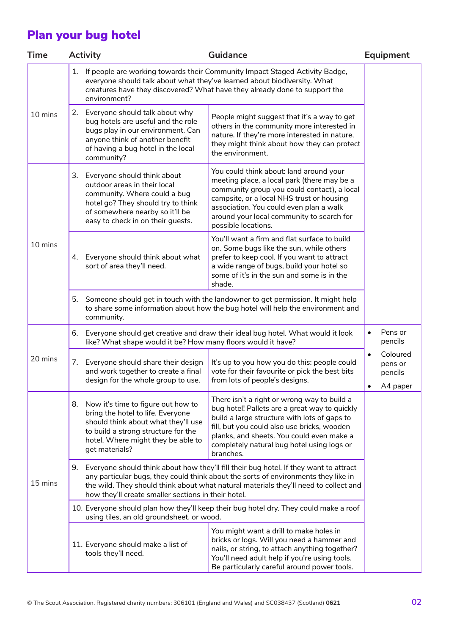## Plan your bug hotel

| <b>Time</b> | <b>Activity</b> |                                                                                                                                                                                                                                                                                                                               | Guidance                                                                                                                                                                                                                                                                                            | Equipment                                               |
|-------------|-----------------|-------------------------------------------------------------------------------------------------------------------------------------------------------------------------------------------------------------------------------------------------------------------------------------------------------------------------------|-----------------------------------------------------------------------------------------------------------------------------------------------------------------------------------------------------------------------------------------------------------------------------------------------------|---------------------------------------------------------|
|             | 1.              | If people are working towards their Community Impact Staged Activity Badge,<br>everyone should talk about what they've learned about biodiversity. What<br>creatures have they discovered? What have they already done to support the<br>environment?                                                                         |                                                                                                                                                                                                                                                                                                     |                                                         |
| 10 mins     |                 | 2. Everyone should talk about why<br>bug hotels are useful and the role<br>bugs play in our environment. Can<br>anyone think of another benefit<br>of having a bug hotel in the local<br>community?                                                                                                                           | People might suggest that it's a way to get<br>others in the community more interested in<br>nature. If they're more interested in nature,<br>they might think about how they can protect<br>the environment.                                                                                       |                                                         |
| 10 mins     | 3.              | Everyone should think about<br>outdoor areas in their local<br>community. Where could a bug<br>hotel go? They should try to think<br>of somewhere nearby so it'll be<br>easy to check in on their guests.                                                                                                                     | You could think about: land around your<br>meeting place, a local park (there may be a<br>community group you could contact), a local<br>campsite, or a local NHS trust or housing<br>association. You could even plan a walk<br>around your local community to search for<br>possible locations.   |                                                         |
|             |                 | 4. Everyone should think about what<br>sort of area they'll need.                                                                                                                                                                                                                                                             | You'll want a firm and flat surface to build<br>on. Some bugs like the sun, while others<br>prefer to keep cool. If you want to attract<br>a wide range of bugs, build your hotel so<br>some of it's in the sun and some is in the<br>shade.                                                        |                                                         |
|             | 5.              | Someone should get in touch with the landowner to get permission. It might help<br>to share some information about how the bug hotel will help the environment and<br>community.                                                                                                                                              |                                                                                                                                                                                                                                                                                                     |                                                         |
| 20 mins     | 6.              | Everyone should get creative and draw their ideal bug hotel. What would it look<br>like? What shape would it be? How many floors would it have?                                                                                                                                                                               |                                                                                                                                                                                                                                                                                                     |                                                         |
|             |                 | 7. Everyone should share their design<br>and work together to create a final<br>design for the whole group to use.                                                                                                                                                                                                            | It's up to you how you do this: people could<br>vote for their favourite or pick the best bits<br>from lots of people's designs.                                                                                                                                                                    | Coloured<br>$\bullet$<br>pens or<br>pencils<br>A4 paper |
| 15 mins     | 8.              | Now it's time to figure out how to<br>bring the hotel to life. Everyone<br>should think about what they'll use<br>to build a strong structure for the<br>hotel. Where might they be able to<br>get materials?                                                                                                                 | There isn't a right or wrong way to build a<br>bug hotel! Pallets are a great way to quickly<br>build a large structure with lots of gaps to<br>fill, but you could also use bricks, wooden<br>planks, and sheets. You could even make a<br>completely natural bug hotel using logs or<br>branches. |                                                         |
|             |                 | 9. Everyone should think about how they'll fill their bug hotel. If they want to attract<br>any particular bugs, they could think about the sorts of environments they like in<br>the wild. They should think about what natural materials they'll need to collect and<br>how they'll create smaller sections in their hotel. |                                                                                                                                                                                                                                                                                                     |                                                         |
|             |                 | 10. Everyone should plan how they'll keep their bug hotel dry. They could make a roof<br>using tiles, an old groundsheet, or wood.                                                                                                                                                                                            |                                                                                                                                                                                                                                                                                                     |                                                         |
|             |                 | 11. Everyone should make a list of<br>tools they'll need.                                                                                                                                                                                                                                                                     | You might want a drill to make holes in<br>bricks or logs. Will you need a hammer and<br>nails, or string, to attach anything together?<br>You'll need adult help if you're using tools.<br>Be particularly careful around power tools.                                                             |                                                         |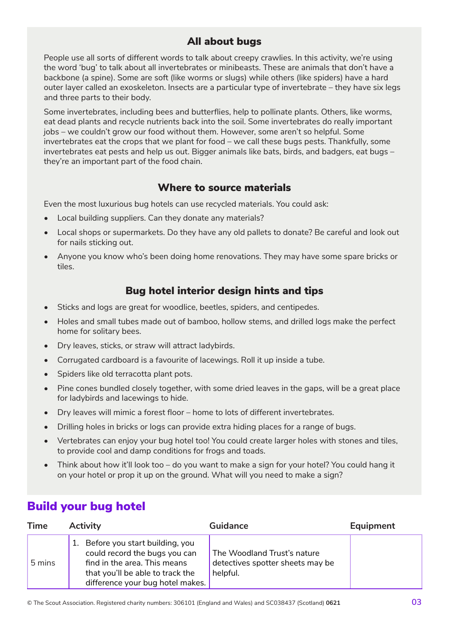## All about bugs

People use all sorts of different words to talk about creepy crawlies. In this activity, we're using the word 'bug' to talk about all invertebrates or minibeasts. These are animals that don't have a backbone (a spine). Some are soft (like worms or slugs) while others (like spiders) have a hard outer layer called an exoskeleton. Insects are a particular type of invertebrate – they have six legs and three parts to their body.

Some invertebrates, including bees and butterflies, help to pollinate plants. Others, like worms, eat dead plants and recycle nutrients back into the soil. Some invertebrates do really important jobs – we couldn't grow our food without them. However, some aren't so helpful. Some invertebrates eat the crops that we plant for food – we call these bugs pests. Thankfully, some invertebrates eat pests and help us out. Bigger animals like bats, birds, and badgers, eat bugs – they're an important part of the food chain.

## Where to source materials

Even the most luxurious bug hotels can use recycled materials. You could ask:

- Local building suppliers. Can they donate any materials?
- Local shops or supermarkets. Do they have any old pallets to donate? Be careful and look out for nails sticking out.
- Anyone you know who's been doing home renovations. They may have some spare bricks or tiles.

## Bug hotel interior design hints and tips

- Sticks and logs are great for woodlice, beetles, spiders, and centipedes.
- Holes and small tubes made out of bamboo, hollow stems, and drilled logs make the perfect home for solitary bees.
- Dry leaves, sticks, or straw will attract ladybirds.
- Corrugated cardboard is a favourite of lacewings. Roll it up inside a tube.
- Spiders like old terracotta plant pots.
- Pine cones bundled closely together, with some dried leaves in the gaps, will be a great place for ladybirds and lacewings to hide.
- Dry leaves will mimic a forest floor home to lots of different invertebrates.
- Drilling holes in bricks or logs can provide extra hiding places for a range of bugs.
- Vertebrates can enjoy your bug hotel too! You could create larger holes with stones and tiles, to provide cool and damp conditions for frogs and toads.
- Think about how it'll look too do you want to make a sign for your hotel? You could hang it on your hotel or prop it up on the ground. What will you need to make a sign?

## Build your bug hotel

| <b>Time</b> | <b>Activity</b>                                                                                                                                                            | <b>Guidance</b>                                                             | Equipment |
|-------------|----------------------------------------------------------------------------------------------------------------------------------------------------------------------------|-----------------------------------------------------------------------------|-----------|
| 5 mins      | 1. Before you start building, you<br>could record the bugs you can<br>find in the area. This means<br>that you'll be able to track the<br>difference your bug hotel makes. | The Woodland Trust's nature<br>detectives spotter sheets may be<br>helpful. |           |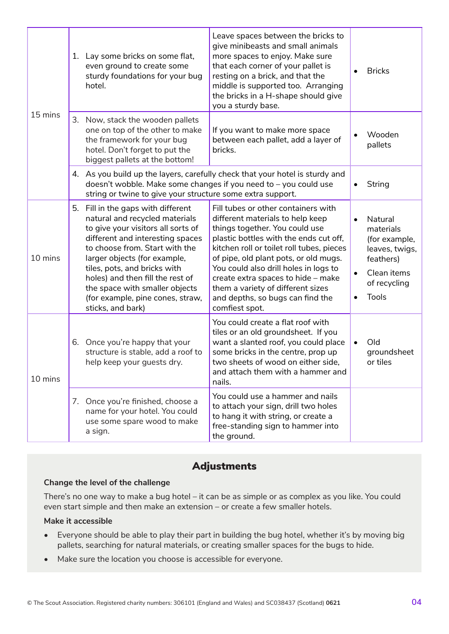| 15 mins |    | 1. Lay some bricks on some flat,<br>even ground to create some<br>sturdy foundations for your bug<br>hotel.                                                                                                                                                                                                                                                                  | Leave spaces between the bricks to<br>give minibeasts and small animals<br>more spaces to enjoy. Make sure<br>that each corner of your pallet is<br>resting on a brick, and that the<br>middle is supported too. Arranging<br>the bricks in a H-shape should give<br>you a sturdy base.                                                                                                                             |           | <b>Bricks</b>                                                                                                |
|---------|----|------------------------------------------------------------------------------------------------------------------------------------------------------------------------------------------------------------------------------------------------------------------------------------------------------------------------------------------------------------------------------|---------------------------------------------------------------------------------------------------------------------------------------------------------------------------------------------------------------------------------------------------------------------------------------------------------------------------------------------------------------------------------------------------------------------|-----------|--------------------------------------------------------------------------------------------------------------|
|         |    | 3. Now, stack the wooden pallets<br>one on top of the other to make<br>the framework for your bug<br>hotel. Don't forget to put the<br>biggest pallets at the bottom!                                                                                                                                                                                                        | If you want to make more space<br>between each pallet, add a layer of<br>bricks.                                                                                                                                                                                                                                                                                                                                    |           | Wooden<br>pallets                                                                                            |
|         |    | 4. As you build up the layers, carefully check that your hotel is sturdy and<br>doesn't wobble. Make some changes if you need to - you could use<br>string or twine to give your structure some extra support.                                                                                                                                                               |                                                                                                                                                                                                                                                                                                                                                                                                                     |           | String                                                                                                       |
| 10 mins | 5. | Fill in the gaps with different<br>natural and recycled materials<br>to give your visitors all sorts of<br>different and interesting spaces<br>to choose from. Start with the<br>larger objects (for example,<br>tiles, pots, and bricks with<br>holes) and then fill the rest of<br>the space with smaller objects<br>(for example, pine cones, straw,<br>sticks, and bark) | Fill tubes or other containers with<br>different materials to help keep<br>things together. You could use<br>plastic bottles with the ends cut off,<br>kitchen roll or toilet roll tubes, pieces<br>of pipe, old plant pots, or old mugs.<br>You could also drill holes in logs to<br>create extra spaces to hide - make<br>them a variety of different sizes<br>and depths, so bugs can find the<br>comfiest spot. | $\bullet$ | Natural<br>materials<br>(for example,<br>leaves, twigs,<br>feathers)<br>Clean items<br>of recycling<br>Tools |
| 10 mins | 6. | Once you're happy that your<br>structure is stable, add a roof to<br>help keep your guests dry.                                                                                                                                                                                                                                                                              | You could create a flat roof with<br>tiles or an old groundsheet. If you<br>want a slanted roof, you could place<br>some bricks in the centre, prop up<br>two sheets of wood on either side,<br>and attach them with a hammer and<br>nails.                                                                                                                                                                         | $\bullet$ | Old<br>groundsheet<br>or tiles                                                                               |
|         |    | 7. Once you're finished, choose a<br>name for your hotel. You could<br>use some spare wood to make<br>a sign.                                                                                                                                                                                                                                                                | You could use a hammer and nails<br>to attach your sign, drill two holes<br>to hang it with string, or create a<br>free-standing sign to hammer into<br>the ground.                                                                                                                                                                                                                                                 |           |                                                                                                              |

## Adjustments

### **Change the level of the challenge**

There's no one way to make a bug hotel – it can be as simple or as complex as you like. You could even start simple and then make an extension – or create a few smaller hotels.

### **Make it accessible**

- Everyone should be able to play their part in building the bug hotel, whether it's by moving big pallets, searching for natural materials, or creating smaller spaces for the bugs to hide.
- Make sure the location you choose is accessible for everyone.